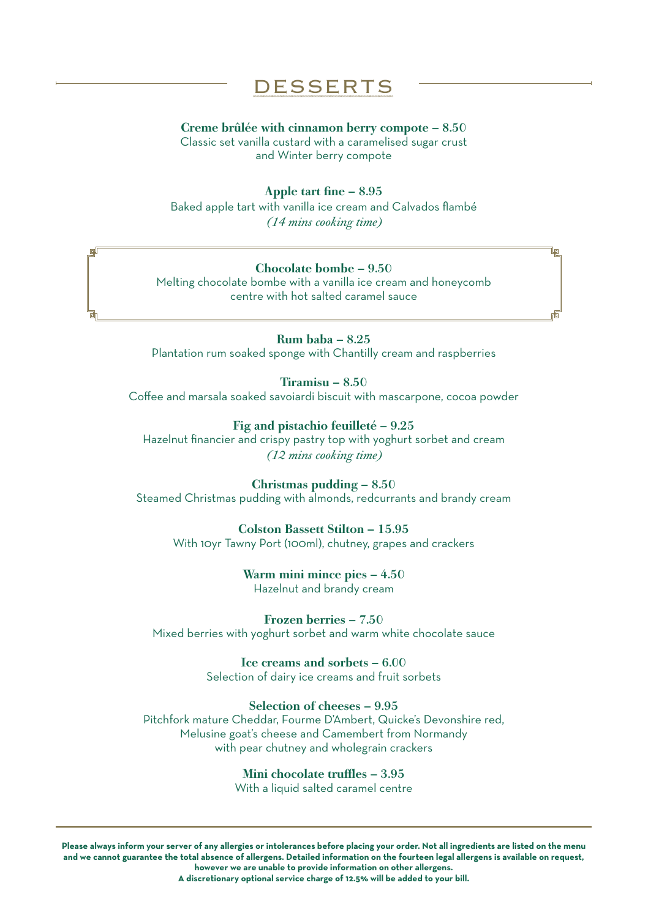# DESSERTS

#### Creme brûlée with cinnamon berry compote – 8.50

Classic set vanilla custard with a caramelised sugar crust and Winter berry compote

### Apple tart fine – 8.95

Baked apple tart with vanilla ice cream and Calvados flambé *(14 mins cooking time)* 

### Chocolate bombe – 9.50

Melting chocolate bombe with a vanilla ice cream and honeycomb centre with hot salted caramel sauce

Rum baba – 8.25 Plantation rum soaked sponge with Chantilly cream and raspberries

Tiramisu – 8.50 Coffee and marsala soaked savoiardi biscuit with mascarpone, cocoa powder

Fig and pistachio feuilleté – 9.25 Hazelnut financier and crispy pastry top with yoghurt sorbet and cream *(12 mins cooking time)*

Christmas pudding – 8.50 Steamed Christmas pudding with almonds, redcurrants and brandy cream

Colston Bassett Stilton – 15.95 With 10yr Tawny Port (100ml), chutney, grapes and crackers

> Warm mini mince pies – 4.50 Hazelnut and brandy cream

Frozen berries – 7.50 Mixed berries with yoghurt sorbet and warm white chocolate sauce

> Ice creams and sorbets – 6.00 Selection of dairy ice creams and fruit sorbets

## Selection of cheeses – 9.95

Pitchfork mature Cheddar, Fourme D'Ambert, Quicke's Devonshire red, Melusine goat's cheese and Camembert from Normandy with pear chutney and wholegrain crackers

> Mini chocolate truffles – 3.95 With a liquid salted caramel centre

**Please always inform your server of any allergies or intolerances before placing your order. Not all ingredients are listed on the menu and we cannot guarantee the total absence of allergens. Detailed information on the fourteen legal allergens is available on request, however we are unable to provide information on other allergens. A discretionary optional service charge of 12.5% will be added to your bill.**